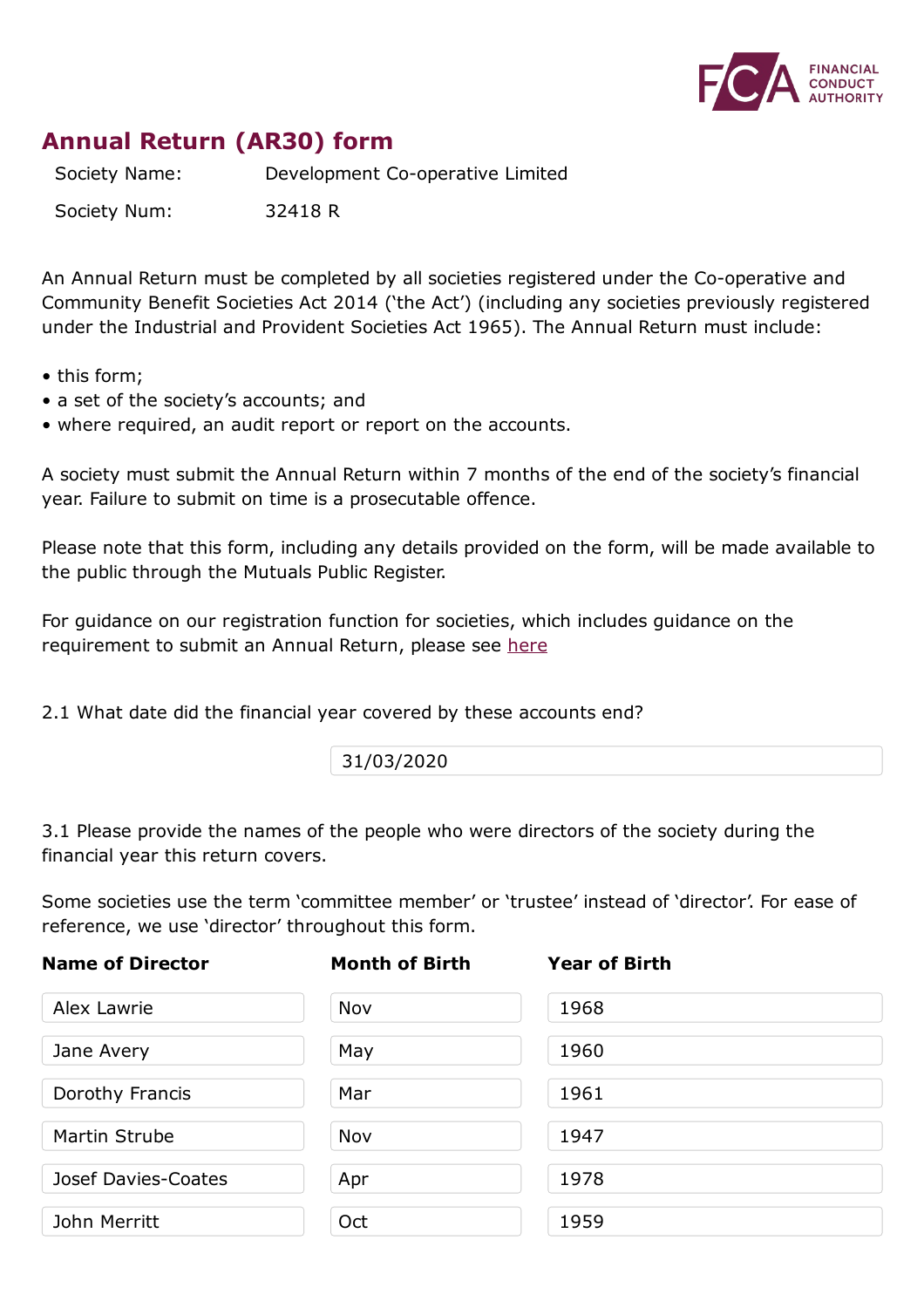

# **Annual Return (AR30) form**

Society Name: Development Co-operative Limited

Society Num: 32418 R

An Annual Return must be completed by all societies registered under the Co-operative and Community Benefit Societies Act 2014 ('the Act') (including any societies previously registered under the Industrial and Provident Societies Act 1965). The Annual Return must include:

- this form;
- a set of the society's accounts; and
- where required, an audit report or report on the accounts.

A society must submit the Annual Return within 7 months of the end of the society's financial year. Failure to submit on time is a prosecutable offence.

Please note that this form, including any details provided on the form, will be made available to the public through the Mutuals Public Register.

For guidance on our registration function for societies, which includes guidance on the requirement to submit an Annual Return, please see here

2.1 What date did the financial year covered by these [acco](https://www.fca.org.uk/publication/finalised-guidance/fg15-12.pdf)unts end?

31/03/2020

3.1 Please provide the names of the people who were directors of the society during the financial year this return covers.

Some societies use the term 'committee member' or 'trustee' instead of 'director'. For ease of reference, we use 'director' throughout this form.

| <b>Name of Director</b> | <b>Month of Birth</b> | <b>Year of Birth</b> |  |
|-------------------------|-----------------------|----------------------|--|
| Alex Lawrie             | Nov                   | 1968                 |  |
| Jane Avery              | May                   | 1960                 |  |
| Dorothy Francis         | Mar                   | 1961                 |  |
| Martin Strube           | Nov                   | 1947                 |  |
| Josef Davies-Coates     | Apr                   | 1978                 |  |
| John Merritt            | Oct                   | 1959                 |  |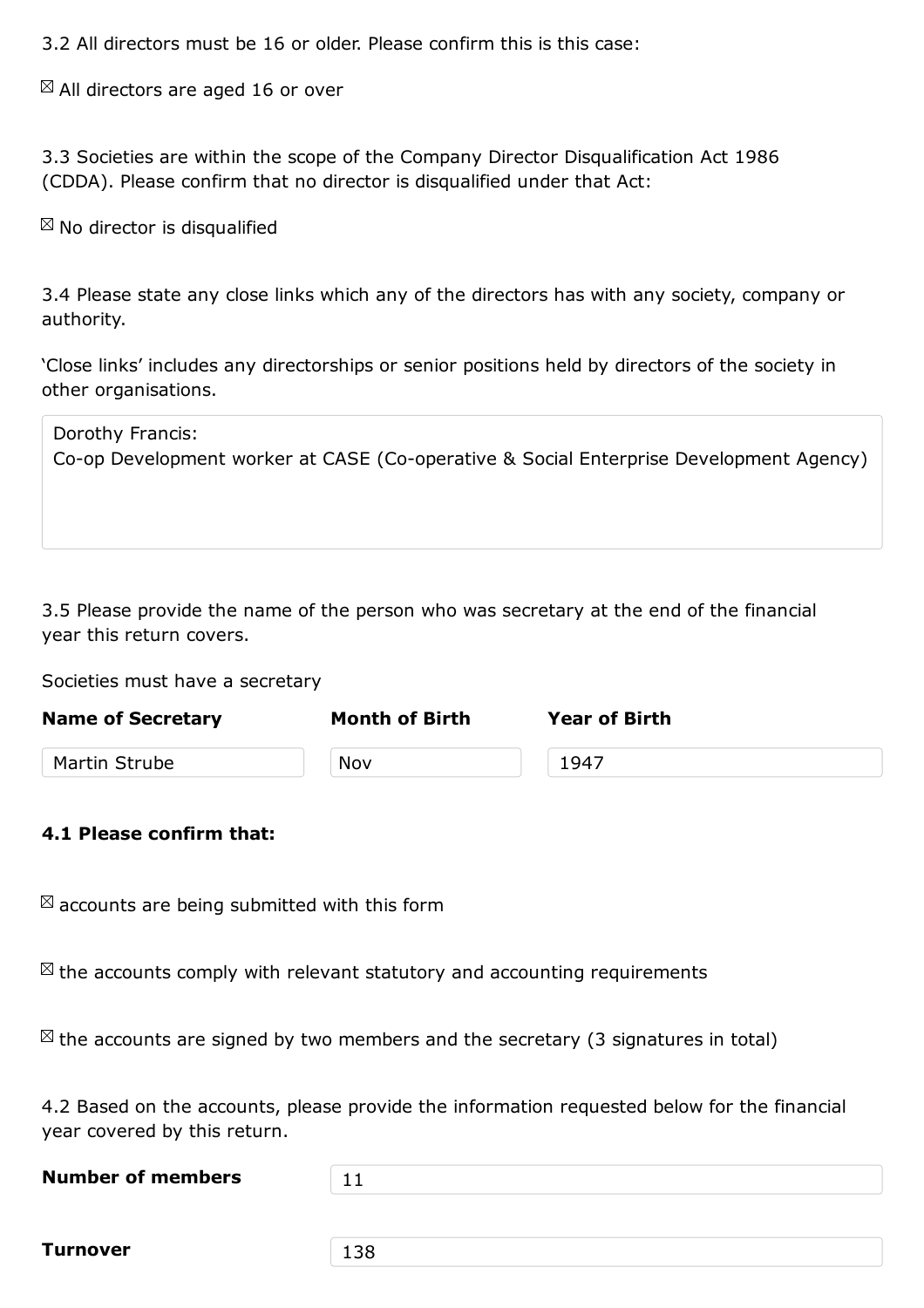$\boxtimes$  All directors are aged 16 or over

3.3 Societies are within the scope of the Company Director Disqualification Act 1986 (CDDA). Please confirm that no director is disqualified under that Act:

 $\boxtimes$  No director is disqualified

3.4 Please state any close links which any of the directors has with any society, company or authority.

'Close links' includes any directorships or senior positions held by directors of the society in other organisations.

| Dorothy Francis:<br>Co-op Development worker at CASE (Co-operative & Social Enterprise Development Agency) |
|------------------------------------------------------------------------------------------------------------|
|                                                                                                            |

3.5 Please provide the name of the person who was secretary at the end of the financial year this return covers.

Societies must have a secretary

| <b>Name of Secretary</b> | <b>Month of Birth</b> | <b>Year of Birth</b> |  |
|--------------------------|-----------------------|----------------------|--|
| Martin Strube            | Nov                   | 1947                 |  |
|                          |                       |                      |  |

## **4.1 Please confirm that:**

 $\boxtimes$  accounts are being submitted with this form

 $\mathbb{Z}$  the accounts comply with relevant statutory and accounting requirements

 $\boxtimes$  the accounts are signed by two members and the secretary (3 signatures in total)

4.2 Based on the accounts, please provide the information requested below for the financial year covered by this return.

| <b>Number of members</b> |  |
|--------------------------|--|
|                          |  |

**Turnover** 138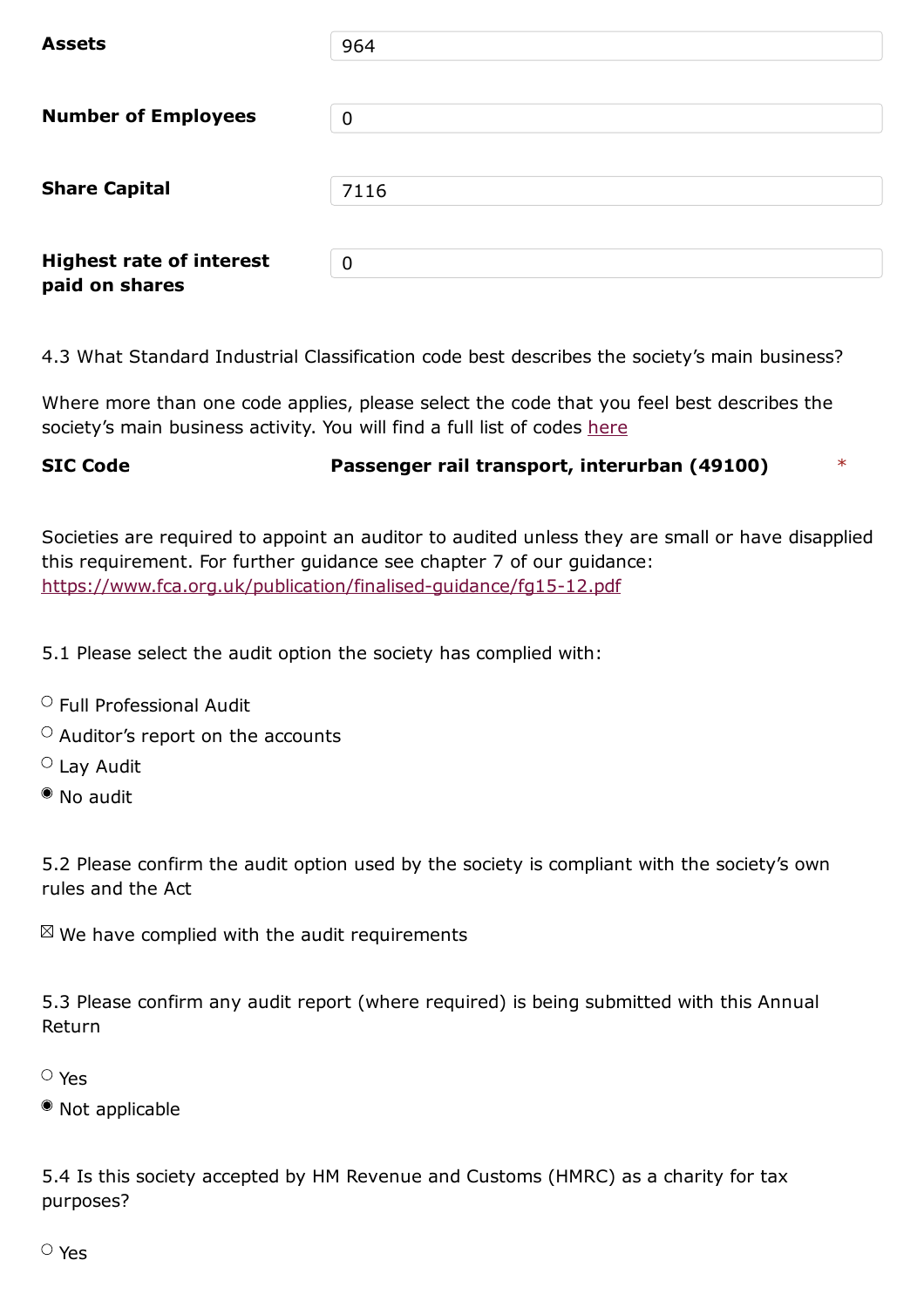| <b>Number of Employees</b>                        | 0              |
|---------------------------------------------------|----------------|
| <b>Share Capital</b>                              | 7116           |
| <b>Highest rate of interest</b><br>paid on shares | $\overline{0}$ |

4.3 What Standard Industrial Classification code best describes the society's main business?

Where more than one code applies, please select the code that you feel best describes the society's main business activity. You will find a full list of codes here

# **SIC Code Passenger rail transport, interurban (49100)** \*

Societies are required to appoint an auditor to audited unless they are small or have disapplied this requirement. For further guidance see chapter 7 of our guidance: https://www.fca.org.uk/publication/finalised-guidance/fg15-12.pdf

5.1 Please select the audit option the society has [complied](https://www.fca.org.uk/publication/finalised-guidance/fg15-12.pdf) with:

- $\circ$  Full Professional Audit
- $\circ$  Auditor's report on the accounts
- Lay Audit
- No audit

5.2 Please confirm the audit option used by the society is compliant with the society's own rules and the Act

 $\mathbb{Z}$  We have complied with the audit requirements

5.3 Please confirm any audit report (where required) is being submitted with this Annual Return

## Yes

Not applicable

5.4 Is this society accepted by HM Revenue and Customs (HMRC) as a charity for tax purposes?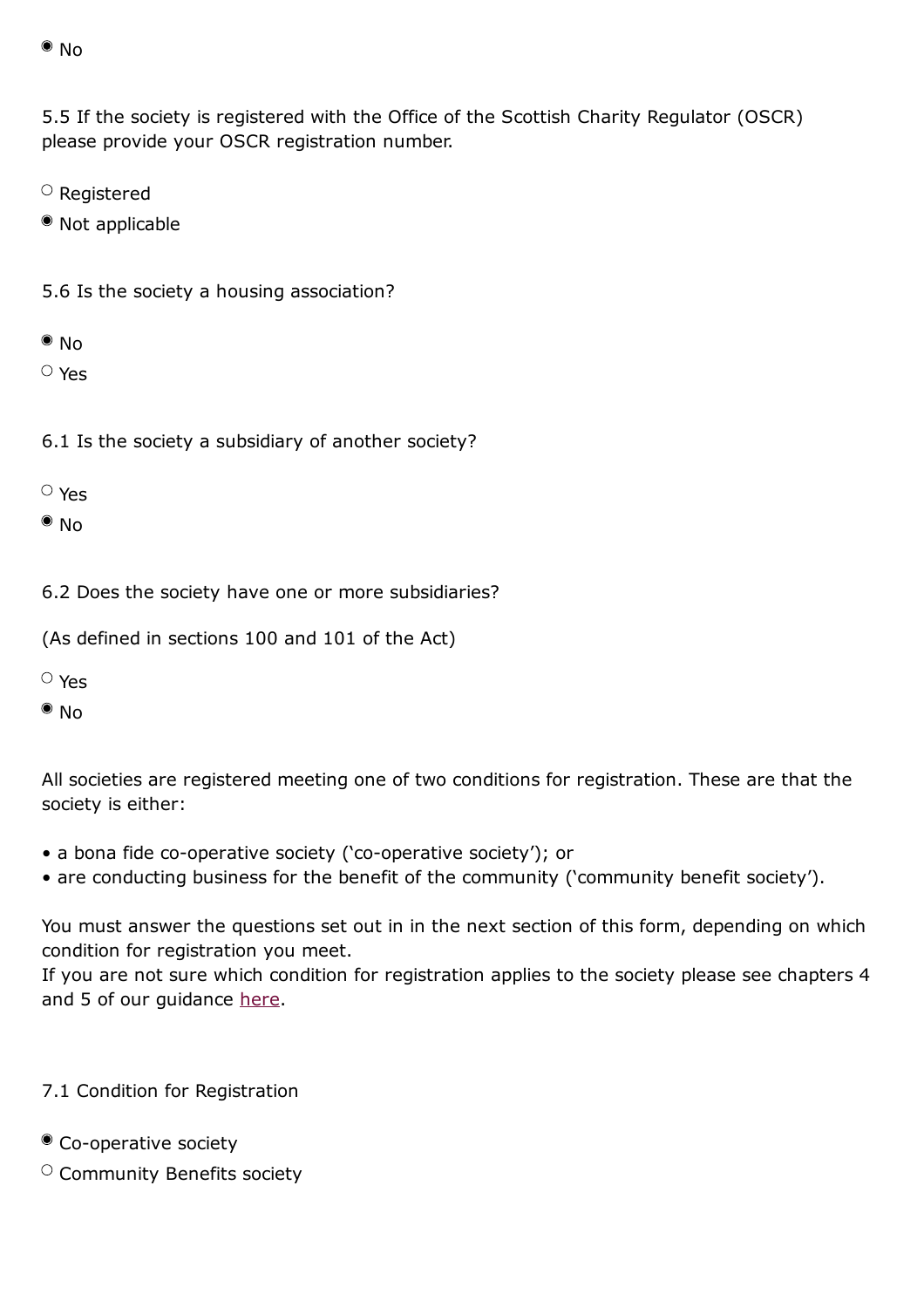5.5 If the society is registered with the Office of the Scottish Charity Regulator (OSCR) please provide your OSCR registration number.

- $\circ$  Registered
- Not applicable
- 5.6 Is the society a housing association?
- $\bullet$  No
- Yes
- 6.1 Is the society a subsidiary of another society?
- Yes
- $\bullet$  No

6.2 Does the society have one or more subsidiaries?

(As defined in sections 100 and 101 of the Act)

- Yes
- $\bullet$  No

All societies are registered meeting one of two conditions for registration. These are that the society is either:

- a bona fide co-operative society ('co-operative society'); or
- are conducting business for the benefit of the community ('community benefit society').

You must answer the questions set out in in the next section of this form, depending on which condition for registration you meet.

If you are not sure which condition for registration applies to the society please see chapters 4 and 5 of our guidance here.

- 7.1 Condition for Regi[stratio](https://www.fca.org.uk/publication/finalised-guidance/fg15-12.pdf)n
- Co-operative society
- $\circ$  Community Benefits society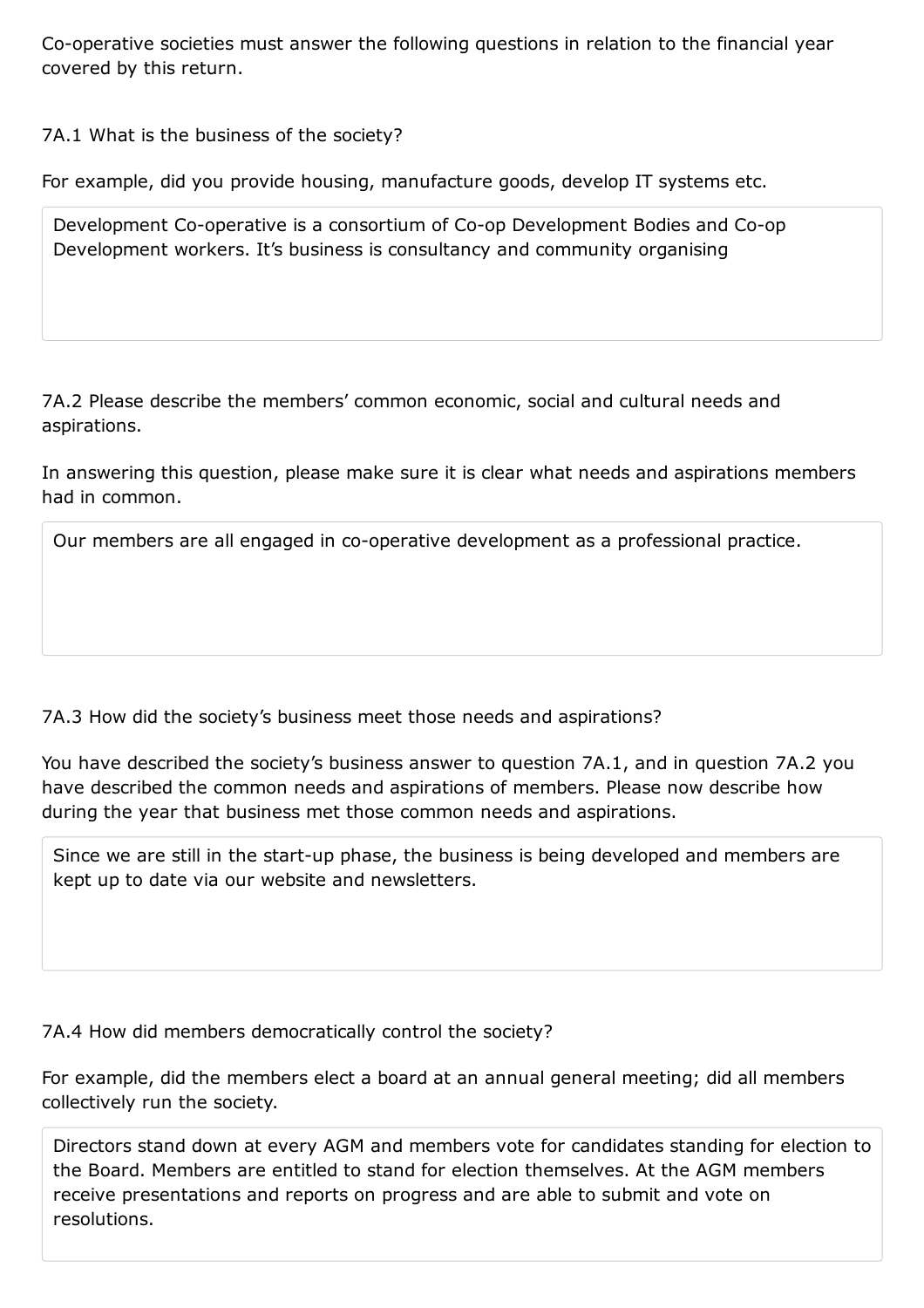## 7A.1 What is the business of the society?

For example, did you provide housing, manufacture goods, develop IT systems etc.

Development Co-operative is a consortium of Co-op Development Bodies and Co-op Development workers. It's business is consultancy and community organising

7A.2 Please describe the members' common economic, social and cultural needs and aspirations.

In answering this question, please make sure it is clear what needs and aspirations members had in common.

Our members are all engaged in co-operative development as a professional practice.

7A.3 How did the society's business meet those needs and aspirations?

You have described the society's business answer to question 7A.1, and in question 7A.2 you have described the common needs and aspirations of members. Please now describe how during the year that business met those common needs and aspirations.

Since we are still in the start-up phase, the business is being developed and members are kept up to date via our website and newsletters.

7A.4 How did members democratically control the society?

For example, did the members elect a board at an annual general meeting; did all members collectively run the society.

Directors stand down at every AGM and members vote for candidates standing for election to the Board. Members are entitled to stand for election themselves. At the AGM members receive presentations and reports on progress and are able to submit and vote on resolutions.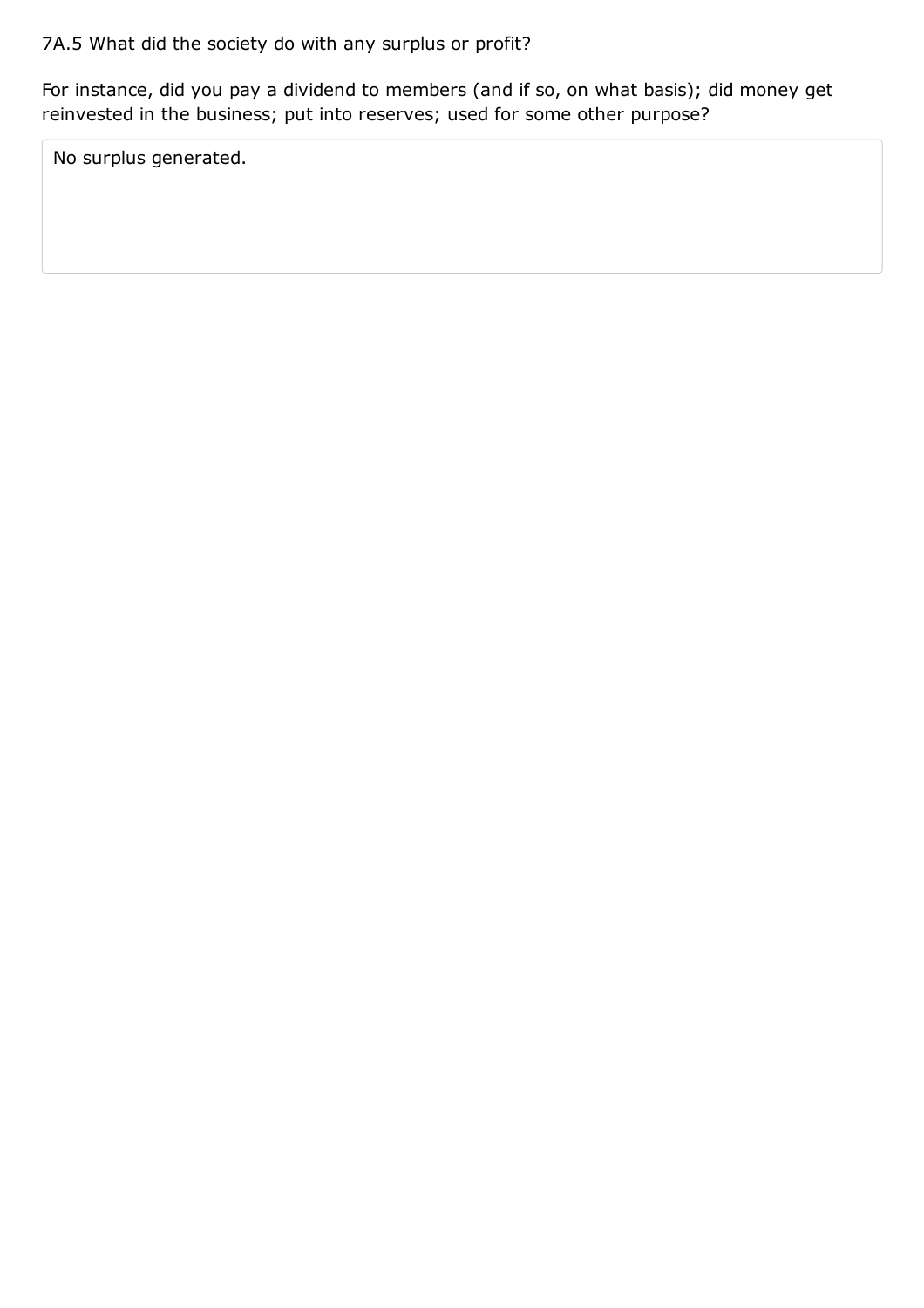For instance, did you pay a dividend to members (and if so, on what basis); did money get reinvested in the business; put into reserves; used for some other purpose?

No surplus generated.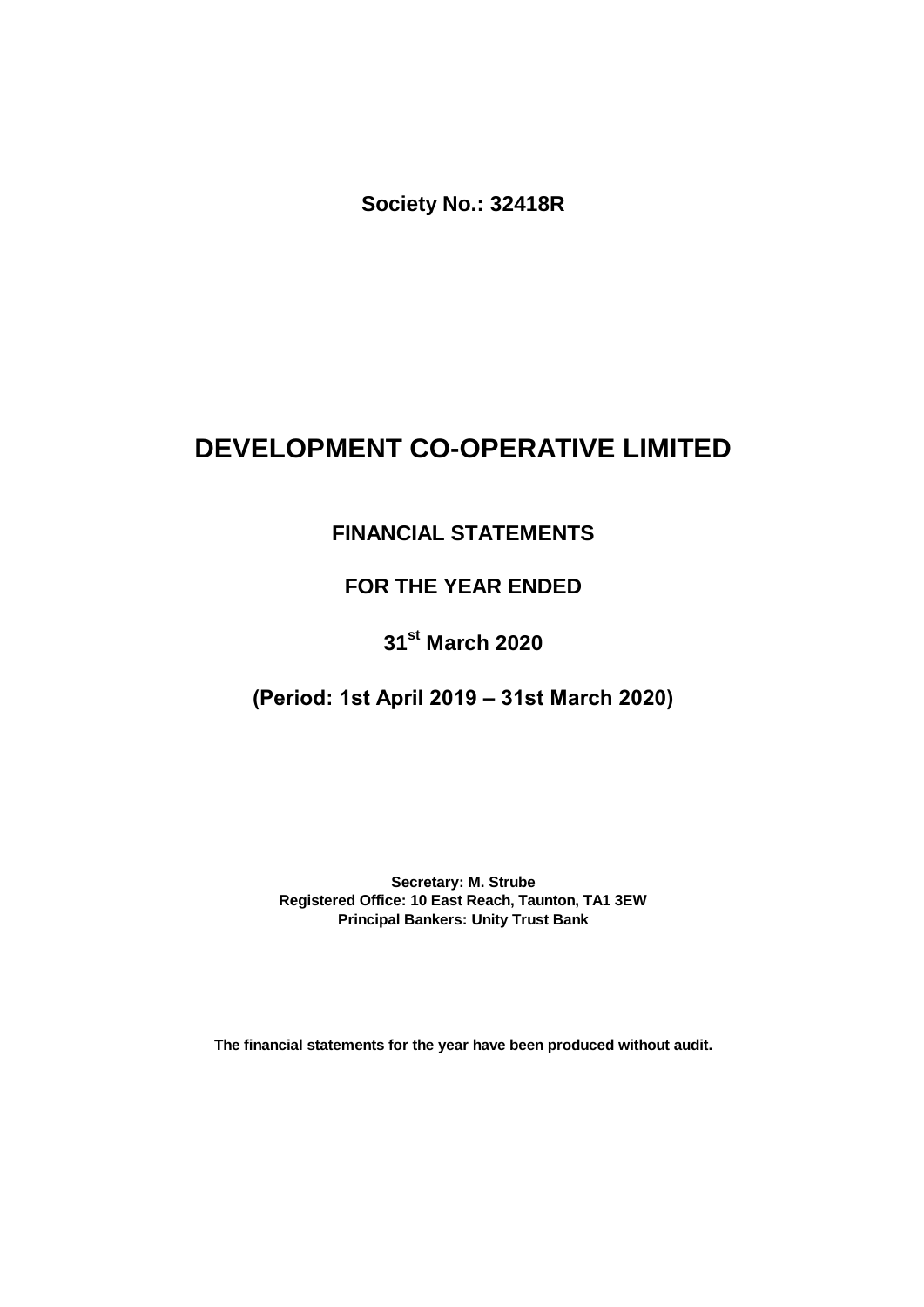**Society No.: 32418R**

# **DEVELOPMENT CO-OPERATIVE LIMITED**

# **FINANCIAL STATEMENTS**

## **FOR THE YEAR ENDED**

# **31st March 2020**

## **(Period: 1st April 2019 – 31st March 2020)**

**Secretary: M. Strube Registered Office: 10 East Reach, Taunton, TA1 3EW Principal Bankers: Unity Trust Bank**

**The financial statements for the year have been produced without audit.**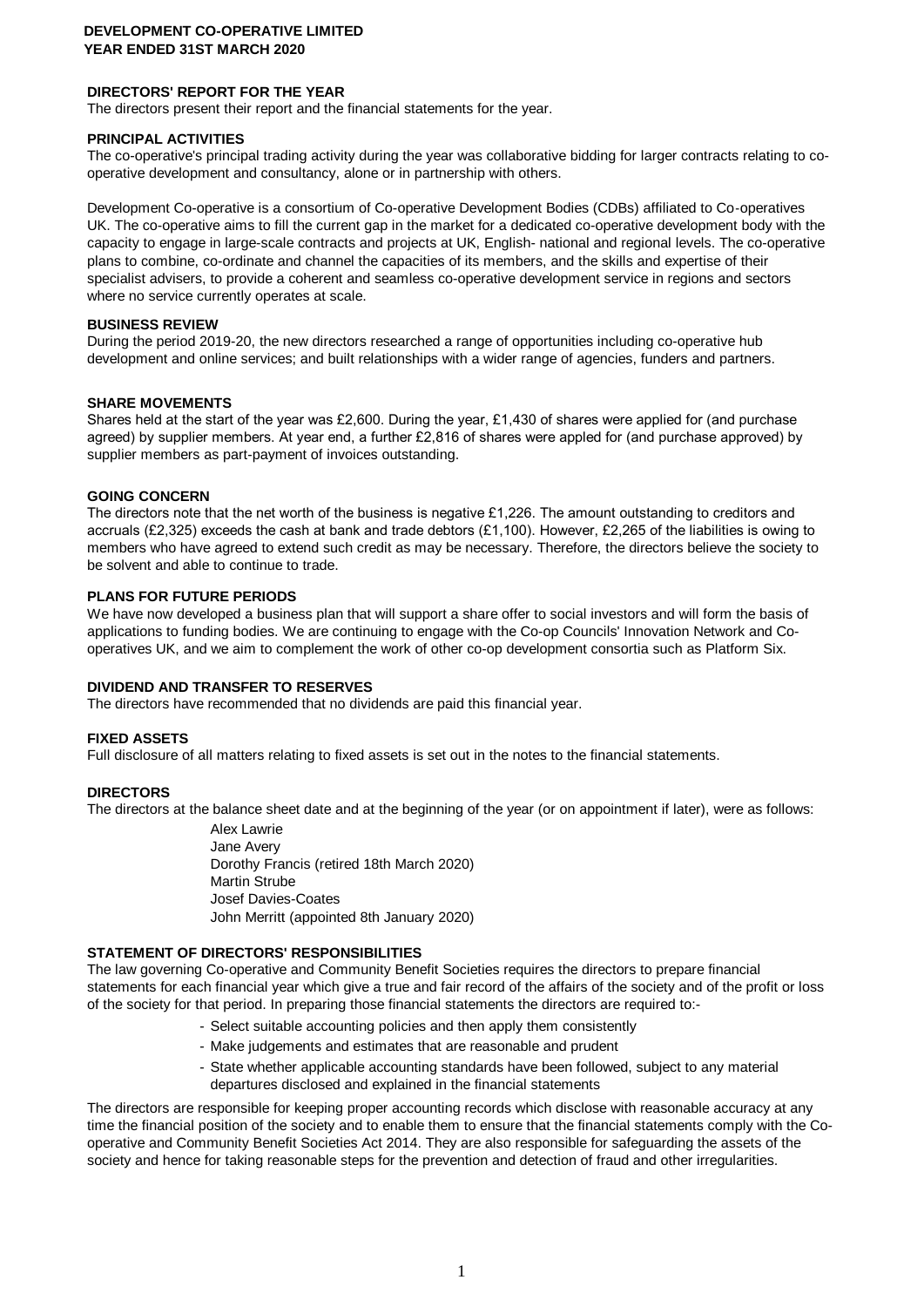## **DIRECTORS' REPORT FOR THE YEAR**

The directors present their report and the financial statements for the year.

#### **PRINCIPAL ACTIVITIES**

The co-operative's principal trading activity during the year was collaborative bidding for larger contracts relating to cooperative development and consultancy, alone or in partnership with others.

Development Co-operative is a consortium of Co-operative Development Bodies (CDBs) affiliated to Co‑operatives UK. The co-operative aims to fill the current gap in the market for a dedicated co-operative development body with the capacity to engage in large-scale contracts and projects at UK, English- national and regional levels. The co-operative plans to combine, co-ordinate and channel the capacities of its members, and the skills and expertise of their specialist advisers, to provide a coherent and seamless co-operative development service in regions and sectors where no service currently operates at scale.

#### **BUSINESS REVIEW**

During the period 2019-20, the new directors researched a range of opportunities including co-operative hub development and online services; and built relationships with a wider range of agencies, funders and partners.

#### **SHARE MOVEMENTS**

Shares held at the start of the year was £2,600. During the year, £1,430 of shares were applied for (and purchase agreed) by supplier members. At year end, a further £2,816 of shares were appled for (and purchase approved) by supplier members as part-payment of invoices outstanding.

#### **GOING CONCERN**

The directors note that the net worth of the business is negative £1,226. The amount outstanding to creditors and accruals (£2,325) exceeds the cash at bank and trade debtors (£1,100). However, £2,265 of the liabilities is owing to members who have agreed to extend such credit as may be necessary. Therefore, the directors believe the society to be solvent and able to continue to trade.

#### **PLANS FOR FUTURE PERIODS**

We have now developed a business plan that will support a share offer to social investors and will form the basis of applications to funding bodies. We are continuing to engage with the Co-op Councils' Innovation Network and Cooperatives UK, and we aim to complement the work of other co-op development consortia such as Platform Six.

## **DIVIDEND AND TRANSFER TO RESERVES**

The directors have recommended that no dividends are paid this financial year.

#### **FIXED ASSETS**

Full disclosure of all matters relating to fixed assets is set out in the notes to the financial statements.

## **DIRECTORS**

The directors at the balance sheet date and at the beginning of the year (or on appointment if later), were as follows:

Alex Lawrie Jane Avery Dorothy Francis (retired 18th March 2020) Martin Strube Josef Davies-Coates John Merritt (appointed 8th January 2020)

## **STATEMENT OF DIRECTORS' RESPONSIBILITIES**

The law governing Co-operative and Community Benefit Societies requires the directors to prepare financial statements for each financial year which give a true and fair record of the affairs of the society and of the profit or loss of the society for that period. In preparing those financial statements the directors are required to:-

- Select suitable accounting policies and then apply them consistently
- Make judgements and estimates that are reasonable and prudent
- State whether applicable accounting standards have been followed, subject to any material departures disclosed and explained in the financial statements

The directors are responsible for keeping proper accounting records which disclose with reasonable accuracy at any time the financial position of the society and to enable them to ensure that the financial statements comply with the Cooperative and Community Benefit Societies Act 2014. They are also responsible for safeguarding the assets of the society and hence for taking reasonable steps for the prevention and detection of fraud and other irregularities.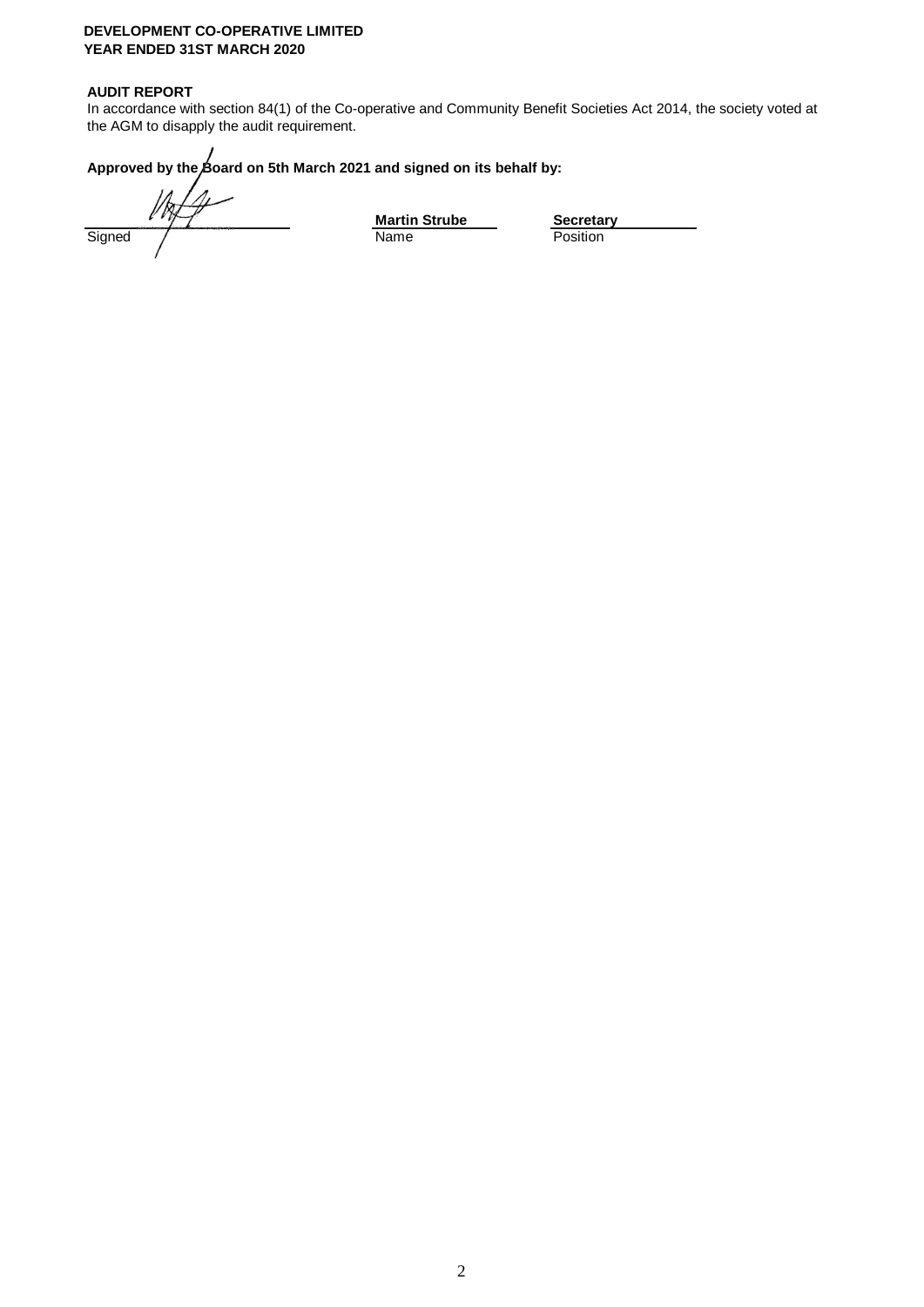## **AUDIT REPORT**

In accordance with section 84(1) of the Co-operative and Community Benefit Societies Act 2014, the society voted at the AGM to disapply the audit requirement.

## Approved by the Board on 5th March 2021 and signed on its behalf by:

Signed / **Name** Position

**Martin Strube**<br>
Name **Busify**<br> **Position**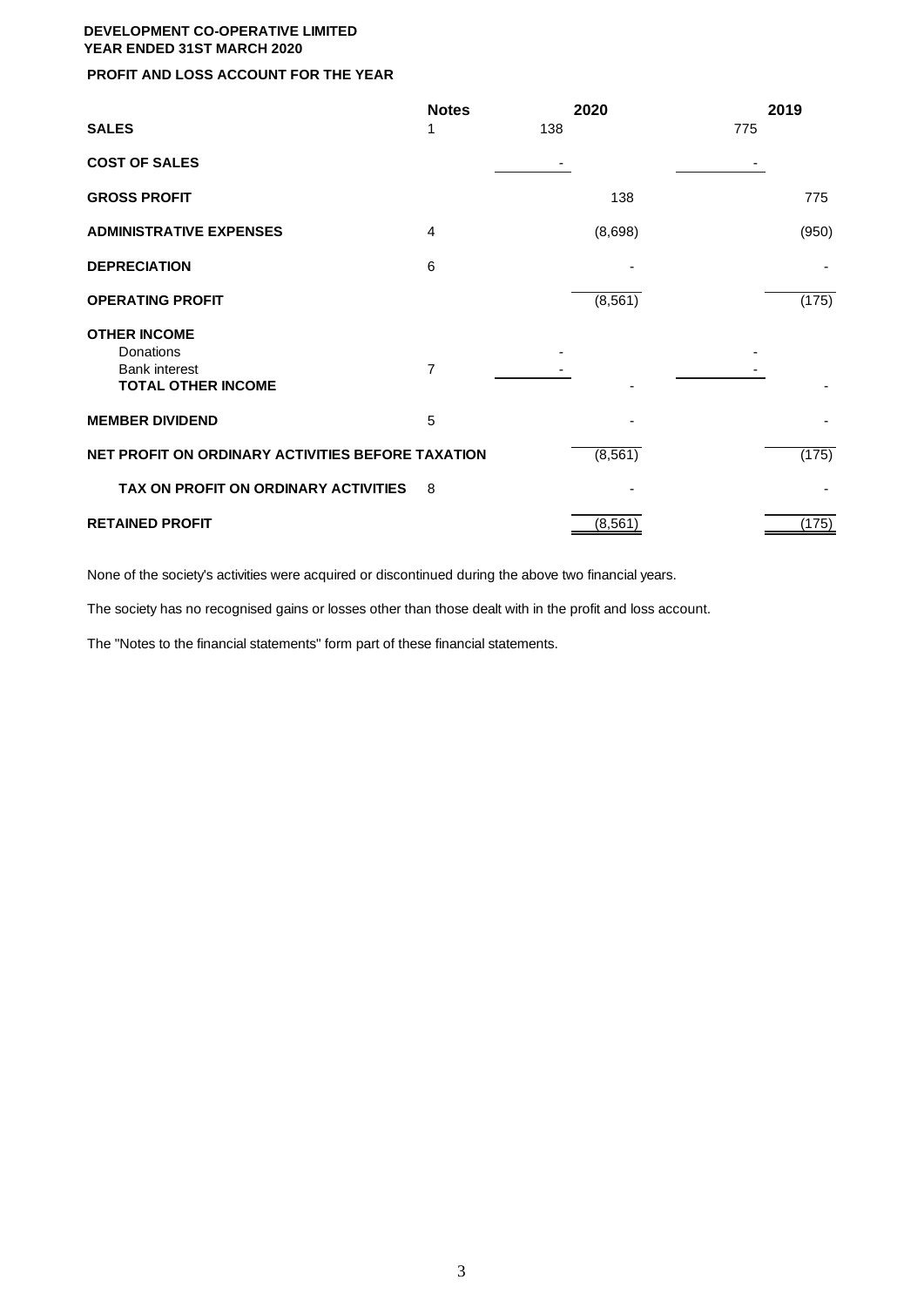## **PROFIT AND LOSS ACCOUNT FOR THE YEAR**

|                                                                                       | <b>Notes</b> | 2020     | 2019  |
|---------------------------------------------------------------------------------------|--------------|----------|-------|
| <b>SALES</b>                                                                          | 1            | 138      | 775   |
| <b>COST OF SALES</b>                                                                  |              |          |       |
| <b>GROSS PROFIT</b>                                                                   |              | 138      | 775   |
| <b>ADMINISTRATIVE EXPENSES</b>                                                        | 4            | (8,698)  | (950) |
| <b>DEPRECIATION</b>                                                                   | 6            |          |       |
| <b>OPERATING PROFIT</b>                                                               |              | (8, 561) | (175) |
| <b>OTHER INCOME</b><br>Donations<br><b>Bank interest</b><br><b>TOTAL OTHER INCOME</b> | 7            |          |       |
| <b>MEMBER DIVIDEND</b>                                                                | 5            |          |       |
| NET PROFIT ON ORDINARY ACTIVITIES BEFORE TAXATION                                     |              | (8, 561) | (175) |
| TAX ON PROFIT ON ORDINARY ACTIVITIES                                                  | 8            |          |       |
| <b>RETAINED PROFIT</b>                                                                |              | (8, 561) | (175) |

None of the society's activities were acquired or discontinued during the above two financial years.

The society has no recognised gains or losses other than those dealt with in the profit and loss account.

The "Notes to the financial statements" form part of these financial statements.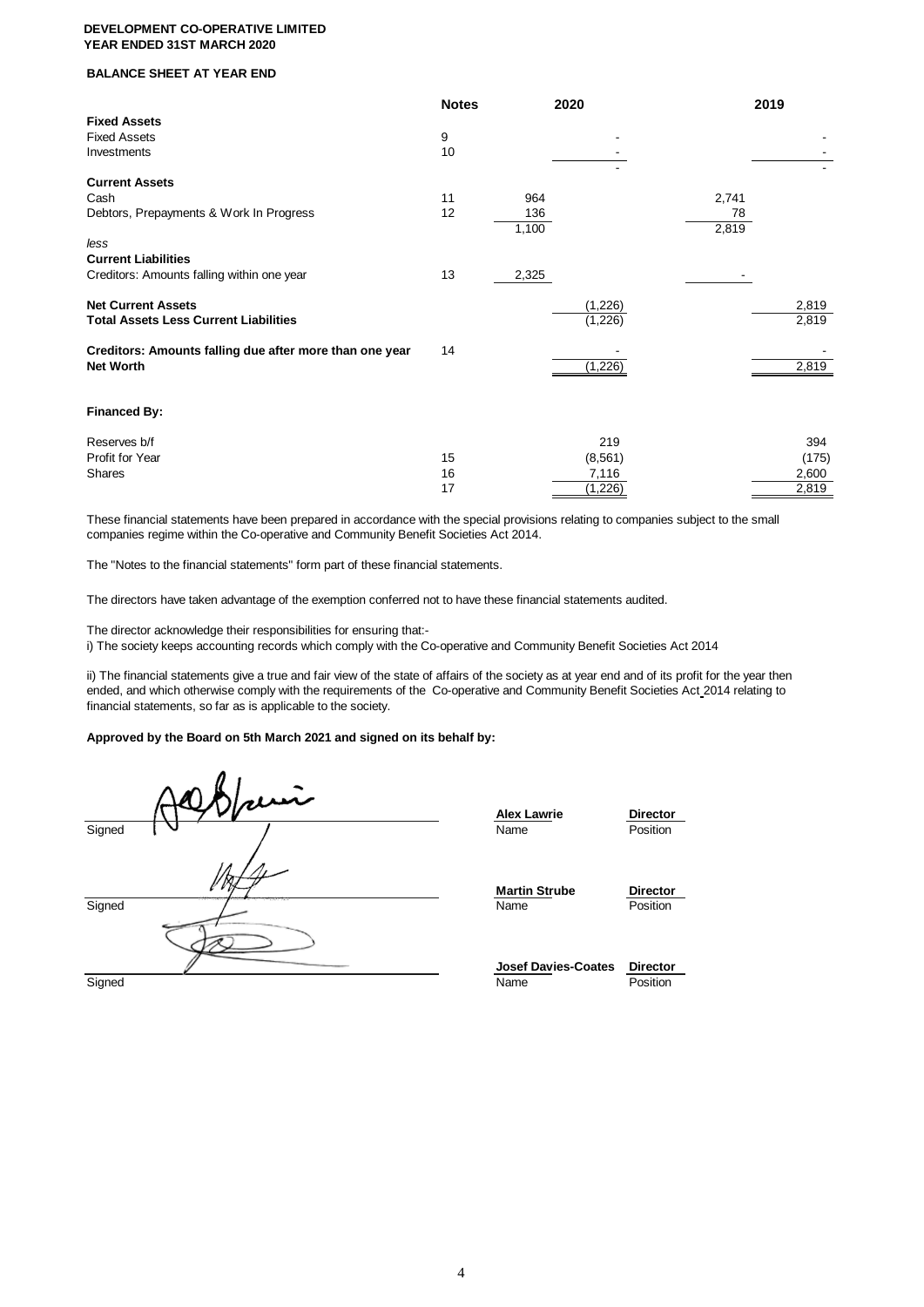#### **BALANCE SHEET AT YEAR END**

|                                                         | <b>Notes</b> | 2020     |       | 2019  |
|---------------------------------------------------------|--------------|----------|-------|-------|
| <b>Fixed Assets</b>                                     |              |          |       |       |
| <b>Fixed Assets</b>                                     | 9            |          |       |       |
| Investments                                             | 10           |          |       |       |
| <b>Current Assets</b>                                   |              |          |       |       |
| Cash                                                    | 11           | 964      | 2,741 |       |
| Debtors, Prepayments & Work In Progress                 | 12           | 136      | 78    |       |
|                                                         |              | 1,100    | 2,819 |       |
| less                                                    |              |          |       |       |
| <b>Current Liabilities</b>                              |              |          |       |       |
| Creditors: Amounts falling within one year              | 13           | 2,325    |       |       |
|                                                         |              |          |       |       |
| <b>Net Current Assets</b>                               |              | (1,226)  |       | 2,819 |
| <b>Total Assets Less Current Liabilities</b>            |              | (1,226)  |       | 2,819 |
| Creditors: Amounts falling due after more than one year | 14           |          |       |       |
| <b>Net Worth</b>                                        |              | (1,226)  |       | 2,819 |
|                                                         |              |          |       |       |
|                                                         |              |          |       |       |
| <b>Financed By:</b>                                     |              |          |       |       |
| Reserves b/f                                            |              | 219      |       | 394   |
| Profit for Year                                         | 15           | (8, 561) |       | (175) |
| <b>Shares</b>                                           | 16           | 7,116    |       | 2,600 |
|                                                         | 17           | (1, 226) |       | 2,819 |

These financial statements have been prepared in accordance with the special provisions relating to companies subject to the small companies regime within the Co-operative and Community Benefit Societies Act 2014.

The "Notes to the financial statements" form part of these financial statements.

The directors have taken advantage of the exemption conferred not to have these financial statements audited.

The director acknowledge their responsibilities for ensuring that:-

i) The society keeps accounting records which comply with the Co-operative and Community Benefit Societies Act 2014

ii) The financial statements give a true and fair view of the state of affairs of the society as at year end and of its profit for the year then ended, and which otherwise comply with the requirements of the Co-operative and Community Benefit Societies Act 2014 relating to financial statements, so far as is applicable to the society.

#### **Approved by the Board on 5th March 2021 and signed on its behalf by:**

|        | auri                             | <b>Alex Lawrie</b>                 | <b>Directo</b>             |
|--------|----------------------------------|------------------------------------|----------------------------|
| Signed |                                  | Name                               | Position                   |
| Signed | <b>Programmers</b><br>The season | <b>Martin Strube</b><br>Name       | <b>Directo</b><br>Position |
| Signed |                                  | <b>Josef Davies-Coates</b><br>Name | <b>Directo</b><br>Position |

**Alex Lawrie Director**<br> **Name Position Martin Strube Director**<br> **Name Position** 

**Josef Davies-Coates Director**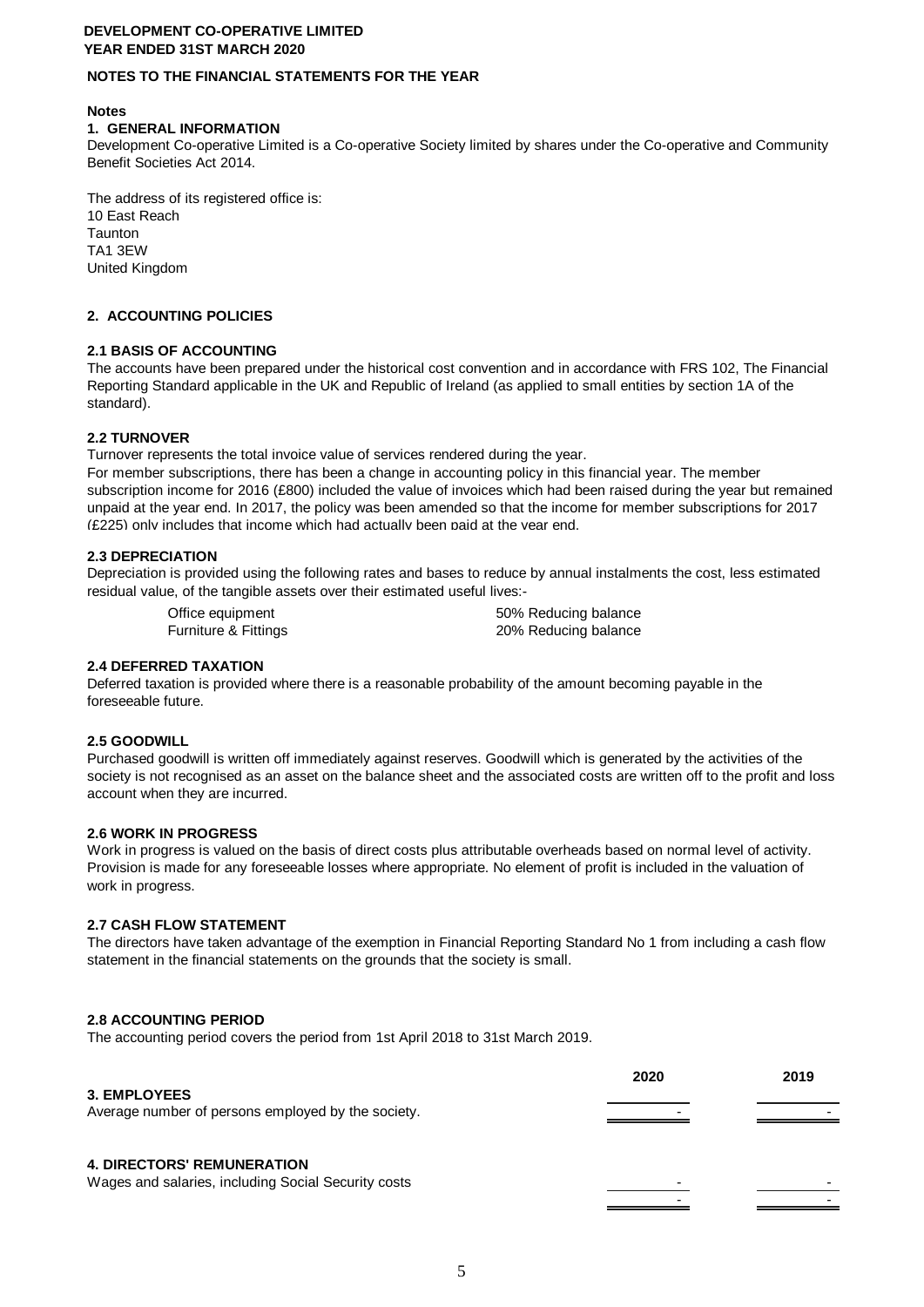## **NOTES TO THE FINANCIAL STATEMENTS FOR THE YEAR**

### **Notes**

### **1. GENERAL INFORMATION**

Development Co-operative Limited is a Co-operative Society limited by shares under the Co-operative and Community Benefit Societies Act 2014.

The address of its registered office is: 10 East Reach Taunton TA1 3EW United Kingdom

## **2. ACCOUNTING POLICIES**

## **2.1 BASIS OF ACCOUNTING**

The accounts have been prepared under the historical cost convention and in accordance with FRS 102, The Financial Reporting Standard applicable in the UK and Republic of Ireland (as applied to small entities by section 1A of the standard).

## **2.2 TURNOVER**

Turnover represents the total invoice value of services rendered during the year.

For member subscriptions, there has been a change in accounting policy in this financial year. The member subscription income for 2016 (£800) included the value of invoices which had been raised during the year but remained unpaid at the year end. In 2017, the policy was been amended so that the income for member subscriptions for 2017 (£225) only includes that income which had actually been paid at the year end.

## **2.3 DEPRECIATION**

Depreciation is provided using the following rates and bases to reduce by annual instalments the cost, less estimated residual value, of the tangible assets over their estimated useful lives:-

Office equipment 60% Reducing balance Furniture & Fittings **20% Reducing balance** 

## **2.4 DEFERRED TAXATION**

Deferred taxation is provided where there is a reasonable probability of the amount becoming payable in the foreseeable future.

## **2.5 GOODWILL**

Purchased goodwill is written off immediately against reserves. Goodwill which is generated by the activities of the society is not recognised as an asset on the balance sheet and the associated costs are written off to the profit and loss account when they are incurred.

## **2.6 WORK IN PROGRESS**

Work in progress is valued on the basis of direct costs plus attributable overheads based on normal level of activity. Provision is made for any foreseeable losses where appropriate. No element of profit is included in the valuation of work in progress.

## **2.7 CASH FLOW STATEMENT**

The directors have taken advantage of the exemption in Financial Reporting Standard No 1 from including a cash flow statement in the financial statements on the grounds that the society is small.

## **2.8 ACCOUNTING PERIOD**

The accounting period covers the period from 1st April 2018 to 31st March 2019.

# **2020 2019 3. EMPLOYEES** Average number of persons employed by the society. **4. DIRECTORS' REMUNERATION** Wages and salaries, including Social Security costs - -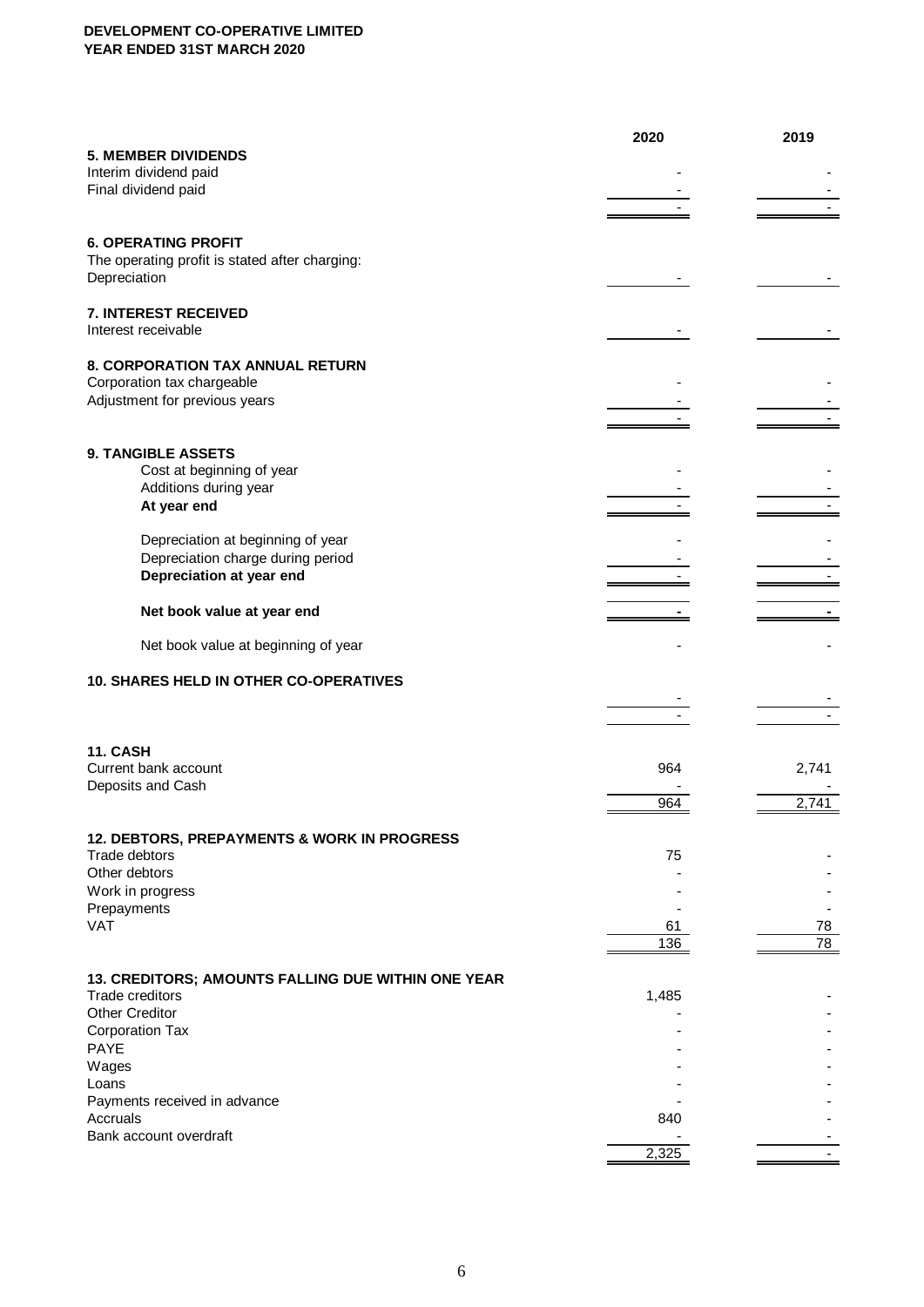|                                                                        | 2020  | 2019  |
|------------------------------------------------------------------------|-------|-------|
| <b>5. MEMBER DIVIDENDS</b>                                             |       |       |
| Interim dividend paid                                                  |       |       |
| Final dividend paid                                                    |       |       |
|                                                                        |       |       |
| <b>6. OPERATING PROFIT</b>                                             |       |       |
| The operating profit is stated after charging:                         |       |       |
| Depreciation                                                           |       |       |
|                                                                        |       |       |
| 7. INTEREST RECEIVED                                                   |       |       |
| Interest receivable                                                    |       |       |
|                                                                        |       |       |
| 8. CORPORATION TAX ANNUAL RETURN                                       |       |       |
| Corporation tax chargeable<br>Adjustment for previous years            |       |       |
|                                                                        |       |       |
|                                                                        |       |       |
| <b>9. TANGIBLE ASSETS</b>                                              |       |       |
| Cost at beginning of year                                              |       |       |
| Additions during year                                                  |       |       |
| At year end                                                            |       |       |
|                                                                        |       |       |
| Depreciation at beginning of year<br>Depreciation charge during period |       |       |
| Depreciation at year end                                               |       |       |
|                                                                        |       |       |
| Net book value at year end                                             |       |       |
|                                                                        |       |       |
| Net book value at beginning of year                                    |       |       |
|                                                                        |       |       |
| 10. SHARES HELD IN OTHER CO-OPERATIVES                                 |       |       |
|                                                                        |       |       |
|                                                                        |       |       |
| <b>11. CASH</b>                                                        |       |       |
| Current bank account                                                   | 964   | 2,741 |
| Deposits and Cash                                                      |       |       |
|                                                                        | 964   | 2,741 |
|                                                                        |       |       |
| 12. DEBTORS, PREPAYMENTS & WORK IN PROGRESS<br>Trade debtors           | 75    |       |
| Other debtors                                                          |       |       |
| Work in progress                                                       |       |       |
| Prepayments                                                            |       |       |
| <b>VAT</b>                                                             | 61    | 78    |
|                                                                        | 136   | 78    |
|                                                                        |       |       |
| 13. CREDITORS; AMOUNTS FALLING DUE WITHIN ONE YEAR<br>Trade creditors  | 1,485 |       |
| <b>Other Creditor</b>                                                  |       |       |
| <b>Corporation Tax</b>                                                 |       |       |
| <b>PAYE</b>                                                            |       |       |
| Wages                                                                  |       |       |
| Loans                                                                  |       |       |
| Payments received in advance                                           |       |       |
| Accruals<br>Bank account overdraft                                     | 840   |       |
|                                                                        | 2,325 |       |
|                                                                        |       |       |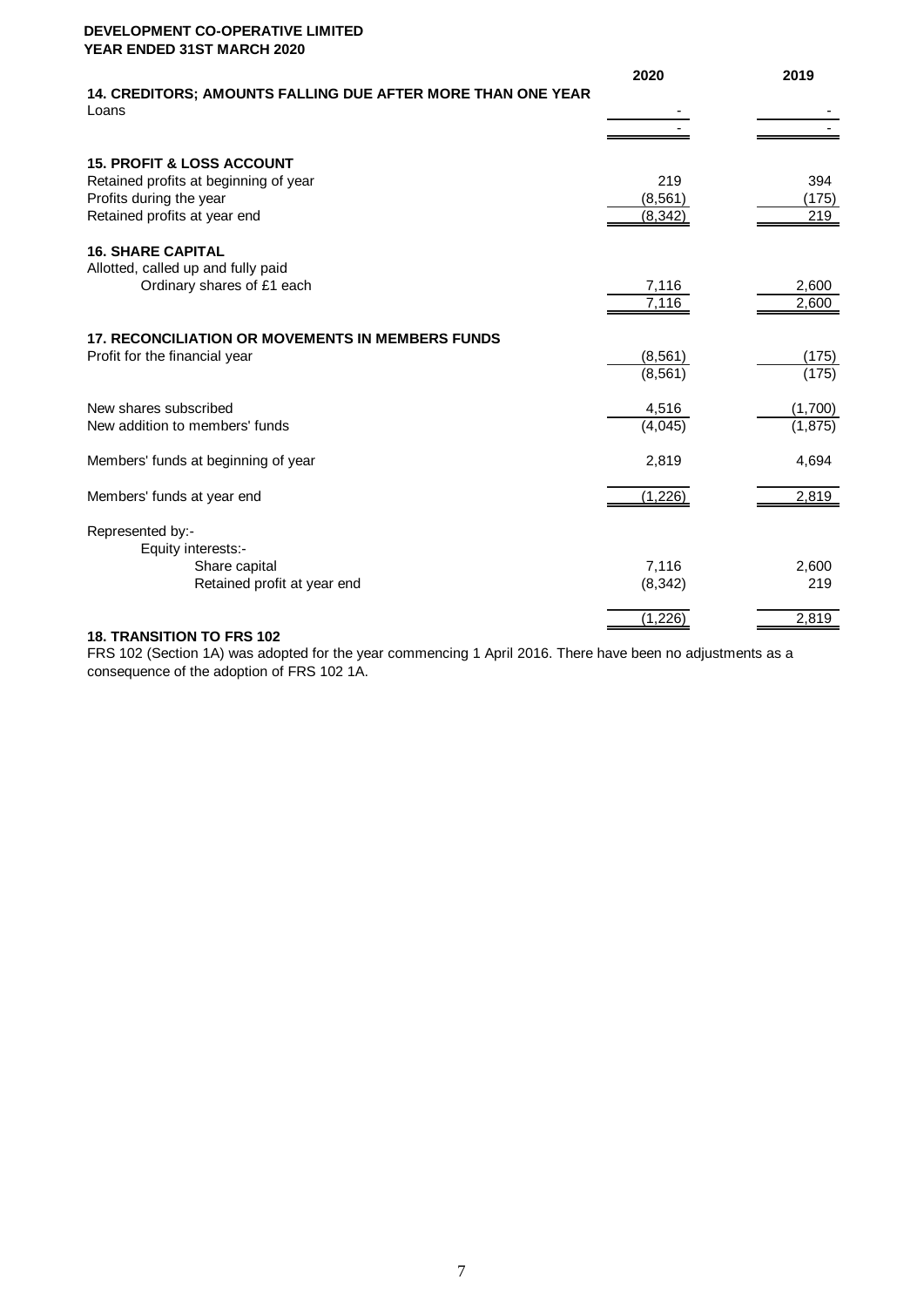|                                                                             | 2020     | 2019     |
|-----------------------------------------------------------------------------|----------|----------|
| <b>14. CREDITORS; AMOUNTS FALLING DUE AFTER MORE THAN ONE YEAR</b><br>Loans |          |          |
|                                                                             |          |          |
| <b>15. PROFIT &amp; LOSS ACCOUNT</b>                                        |          |          |
| Retained profits at beginning of year                                       | 219      | 394      |
| Profits during the year                                                     | (8, 561) | (175)    |
| Retained profits at year end                                                | (8, 342) | 219      |
| <b>16. SHARE CAPITAL</b>                                                    |          |          |
| Allotted, called up and fully paid                                          |          |          |
| Ordinary shares of £1 each                                                  | 7,116    | 2,600    |
|                                                                             | 7,116    | 2,600    |
| <b>17. RECONCILIATION OR MOVEMENTS IN MEMBERS FUNDS</b>                     |          |          |
| Profit for the financial year                                               | (8, 561) | (175)    |
|                                                                             | (8, 561) | (175)    |
| New shares subscribed                                                       | 4,516    | (1,700)  |
| New addition to members' funds                                              | (4,045)  | (1, 875) |
| Members' funds at beginning of year                                         | 2,819    | 4,694    |
| Members' funds at year end                                                  | (1,226)  | 2,819    |
|                                                                             |          |          |
| Represented by:-                                                            |          |          |
| Equity interests:-                                                          |          |          |
| Share capital                                                               | 7,116    | 2,600    |
| Retained profit at year end                                                 | (8, 342) | 219      |
|                                                                             | (1, 226) | 2,819    |
|                                                                             |          |          |

#### **18. TRANSITION TO FRS 102**

FRS 102 (Section 1A) was adopted for the year commencing 1 April 2016. There have been no adjustments as a consequence of the adoption of FRS 102 1A.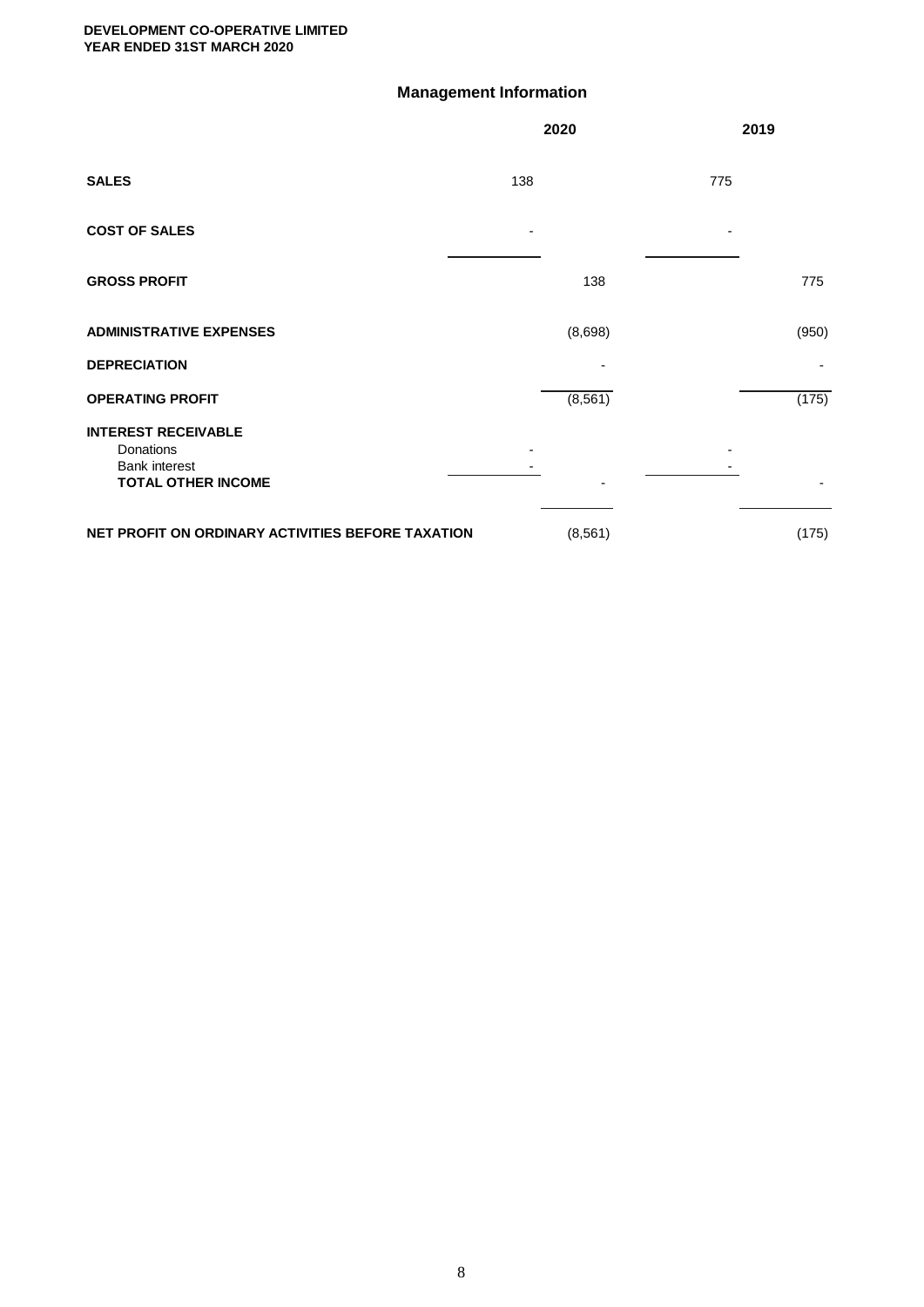## **Management Information**

|                                                                                              | 2020 |          | 2019  |
|----------------------------------------------------------------------------------------------|------|----------|-------|
| <b>SALES</b>                                                                                 | 138  | 775      |       |
| <b>COST OF SALES</b>                                                                         | ٠    | ٠        |       |
| <b>GROSS PROFIT</b>                                                                          |      | 138      | 775   |
| <b>ADMINISTRATIVE EXPENSES</b>                                                               |      | (8,698)  | (950) |
| <b>DEPRECIATION</b>                                                                          |      |          |       |
| <b>OPERATING PROFIT</b>                                                                      |      | (8, 561) | (175) |
| <b>INTEREST RECEIVABLE</b><br>Donations<br><b>Bank interest</b><br><b>TOTAL OTHER INCOME</b> |      |          |       |
| NET PROFIT ON ORDINARY ACTIVITIES BEFORE TAXATION                                            |      | (8, 561) | (175) |